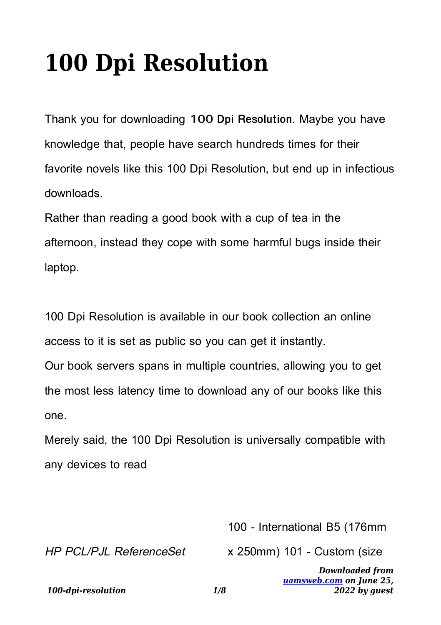## **100 Dpi Resolution**

Thank you for downloading **100 Dpi Resolution**. Maybe you have knowledge that, people have search hundreds times for their favorite novels like this 100 Dpi Resolution, but end up in infectious downloads.

Rather than reading a good book with a cup of tea in the afternoon, instead they cope with some harmful bugs inside their laptop.

100 Dpi Resolution is available in our book collection an online access to it is set as public so you can get it instantly.

Our book servers spans in multiple countries, allowing you to get the most less latency time to download any of our books like this one.

Merely said, the 100 Dpi Resolution is universally compatible with any devices to read

100 - International B5 (176mm

HP PCL/PJL ReferenceSet

x 250mm) 101 - Custom (size

*Downloaded from [uamsweb.com](http://uamsweb.com) on June 25, 2022 by guest*

*100-dpi-resolution 1/8*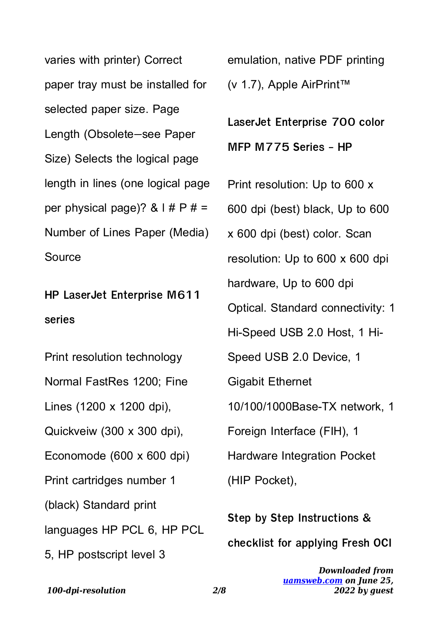varies with printer) Correct paper tray must be installed for selected paper size. Page Length (Obsolete—see Paper Size) Selects the logical page length in lines (one logical page per physical page)?  $& 1 \# P \# =$ Number of Lines Paper (Media) **Source** 

**HP LaserJet Enterprise M611 series**

Print resolution technology Normal FastRes 1200; Fine Lines (1200 x 1200 dpi), Quickveiw (300 x 300 dpi), Economode (600 x 600 dpi) Print cartridges number 1 (black) Standard print languages HP PCL 6, HP PCL 5, HP postscript level 3

emulation, native PDF printing (v 1.7), Apple AirPrint™

**LaserJet Enterprise 700 color MFP M775 Series - HP**

Print resolution: Up to 600 x 600 dpi (best) black, Up to 600 x 600 dpi (best) color. Scan resolution: Up to 600 x 600 dpi hardware, Up to 600 dpi Optical. Standard connectivity: 1 Hi-Speed USB 2.0 Host, 1 Hi-Speed USB 2.0 Device, 1 Gigabit Ethernet 10/100/1000Base-TX network, 1 Foreign Interface (FIH), 1 Hardware Integration Pocket (HIP Pocket),

**Step by Step Instructions & checklist for applying Fresh OCI**

*100-dpi-resolution 2/8*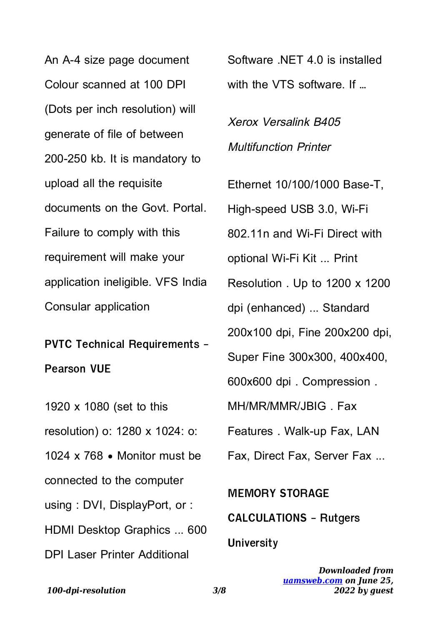An A-4 size page document Colour scanned at 100 DPI (Dots per inch resolution) will generate of file of between 200-250 kb. It is mandatory to upload all the requisite documents on the Govt. Portal. Failure to comply with this requirement will make your application ineligible. VFS India Consular application

**PVTC Technical Requirements - Pearson VUE**

1920 x 1080 (set to this resolution) o: 1280 x 1024: o: 1024 x 768 • Monitor must be connected to the computer using : DVI, DisplayPort, or : HDMI Desktop Graphics ... 600 DPI Laser Printer Additional

Software  $NFT 4.0$  is installed with the VTS software. If …

Xerox Versalink B405 Multifunction Printer

Ethernet 10/100/1000 Base-T, High-speed USB 3.0, Wi-Fi 802.11n and Wi-Fi Direct with optional Wi-Fi Kit ... Print Resolution . Up to 1200 x 1200 dpi (enhanced) ... Standard 200x100 dpi, Fine 200x200 dpi, Super Fine 300x300, 400x400,

600x600 dpi . Compression .

MH/MR/MMR/JBIG . Fax

Features . Walk-up Fax, LAN

Fax, Direct Fax, Server Fax ...

**MEMORY STORAGE CALCULATIONS - Rutgers University**

> *Downloaded from [uamsweb.com](http://uamsweb.com) on June 25, 2022 by guest*

*100-dpi-resolution 3/8*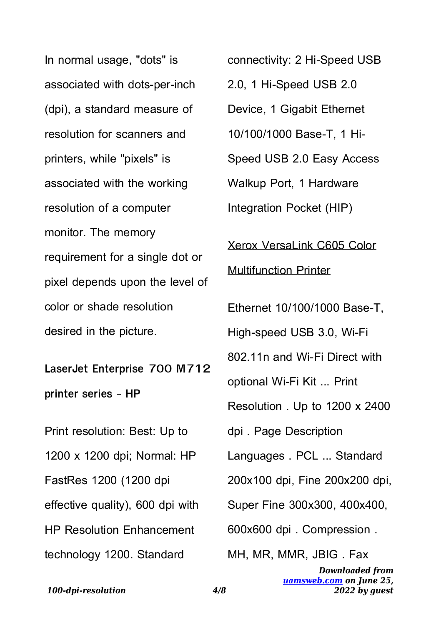In normal usage, "dots" is associated with dots-per-inch (dpi), a standard measure of resolution for scanners and printers, while "pixels" is associated with the working resolution of a computer monitor. The memory requirement for a single dot or pixel depends upon the level of color or shade resolution desired in the picture.

**LaserJet Enterprise 700 M712 printer series - HP**

Print resolution: Best: Up to 1200 x 1200 dpi; Normal: HP FastRes 1200 (1200 dpi effective quality), 600 dpi with HP Resolution Enhancement technology 1200. Standard

connectivity: 2 Hi-Speed USB 2.0, 1 Hi-Speed USB 2.0 Device, 1 Gigabit Ethernet 10/100/1000 Base-T, 1 Hi-Speed USB 2.0 Easy Access Walkup Port, 1 Hardware Integration Pocket (HIP) Xerox VersaLink C605 Color Multifunction Printer Ethernet 10/100/1000 Base-T, High-speed USB 3.0, Wi-Fi 802.11n and Wi-Fi Direct with optional Wi-Fi Kit ... Print Resolution . Up to 1200 x 2400 dpi . Page Description Languages . PCL ... Standard 200x100 dpi, Fine 200x200 dpi, Super Fine 300x300, 400x400, 600x600 dpi . Compression . MH, MR, MMR, JBIG . Fax

*Downloaded from [uamsweb.com](http://uamsweb.com) on June 25, 2022 by guest*

*100-dpi-resolution 4/8*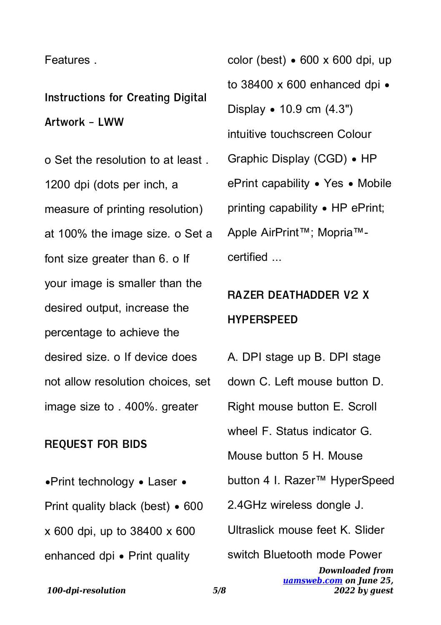## **Features**

**Instructions for Creating Digital Artwork - LWW**

o Set the resolution to at least . 1200 dpi (dots per inch, a measure of printing resolution) at 100% the image size. o Set a font size greater than 6. o If your image is smaller than the desired output, increase the percentage to achieve the desired size. o If device does not allow resolution choices, set image size to . 400%. greater

## **REQUEST FOR BIDS**

•Print technology • Laser • Print quality black (best) • 600 x 600 dpi, up to 38400 x 600 enhanced dpi • Print quality

color (best)  $\bullet$  600 x 600 dpi, up to 38400 x 600 enhanced dpi  $\bullet$ Display • 10.9 cm (4.3") intuitive touchscreen Colour Graphic Display (CGD) • HP ePrint capability • Yes • Mobile printing capability • HP ePrint; Apple AirPrint™; Mopria™ certified ...

## **RAZER DEATHADDER V2 X HYPERSPEED**

*Downloaded from [uamsweb.com](http://uamsweb.com) on June 25,* A. DPI stage up B. DPI stage down C. Left mouse button D. Right mouse button E. Scroll wheel F. Status indicator G. Mouse button 5 H. Mouse button 4 I. Razer™ HyperSpeed 2.4GHz wireless dongle J. Ultraslick mouse feet K. Slider switch Bluetooth mode Power

*2022 by guest*

*100-dpi-resolution 5/8*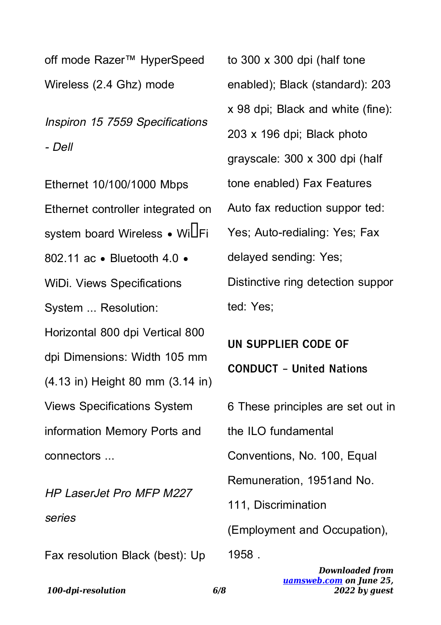off mode Razer™ HyperSpeed Wireless (2.4 Ghz) mode

Inspiron 15 7559 Specifications - Dell

Ethernet 10/100/1000 Mbps Ethernet controller integrated on system board Wireless • WillFi 802.11 ac • Bluetooth 4.0 • WiDi. Views Specifications System ... Resolution: Horizontal 800 dpi Vertical 800 dpi Dimensions: Width 105 mm (4.13 in) Height 80 mm (3.14 in) Views Specifications System information Memory Ports and connectors ...

HP LaserJet Pro MFP M227 series

Fax resolution Black (best): Up

to 300 x 300 dpi (half tone enabled); Black (standard): 203 x 98 dpi; Black and white (fine): 203 x 196 dpi; Black photo grayscale: 300 x 300 dpi (half tone enabled) Fax Features Auto fax reduction suppor ted: Yes; Auto-redialing: Yes; Fax delayed sending: Yes; Distinctive ring detection suppor ted: Yes;

**UN SUPPLIER CODE OF CONDUCT - United Nations**

6 These principles are set out in

the ILO fundamental

Conventions, No. 100, Equal

Remuneration, 1951and No.

111, Discrimination

(Employment and Occupation),

1958

*Downloaded from [uamsweb.com](http://uamsweb.com) on June 25, 2022 by guest*

*100-dpi-resolution 6/8*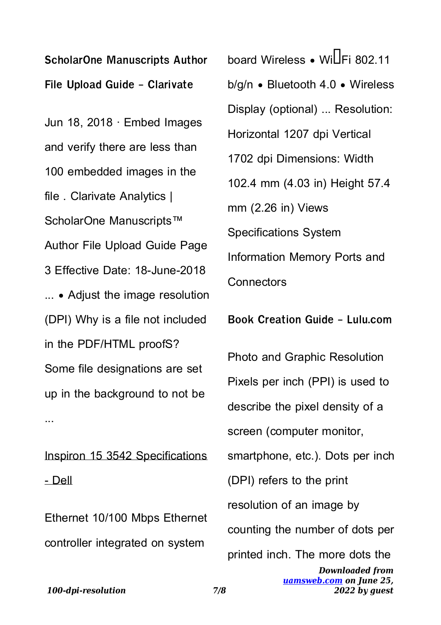**ScholarOne Manuscripts Author File Upload Guide - Clarivate**

Jun 18, 2018 · Embed Images and verify there are less than 100 embedded images in the file . Clarivate Analytics | ScholarOne Manuscripts<sup>™</sup> Author File Upload Guide Page 3 Effective Date: 18-June-2018 ... • Adjust the image resolution (DPI) Why is a file not included in the PDF/HTML proofS? Some file designations are set up in the background to not be ...

Inspiron 15 3542 Specifications - Dell

Ethernet 10/100 Mbps Ethernet controller integrated on system

 $board$  Wireless • Wi $\overline{\Pi}$ Fi 802.11 b/g/n • Bluetooth 4.0 • Wireless Display (optional) ... Resolution: Horizontal 1207 dpi Vertical 1702 dpi Dimensions: Width 102.4 mm (4.03 in) Height 57.4 mm (2.26 in) Views Specifications System Information Memory Ports and **Connectors** 

**Book Creation Guide - Lulu.com**

*Downloaded from [uamsweb.com](http://uamsweb.com) on June 25,* Photo and Graphic Resolution Pixels per inch (PPI) is used to describe the pixel density of a screen (computer monitor, smartphone, etc.). Dots per inch (DPI) refers to the print resolution of an image by counting the number of dots per printed inch. The more dots the

*2022 by guest*